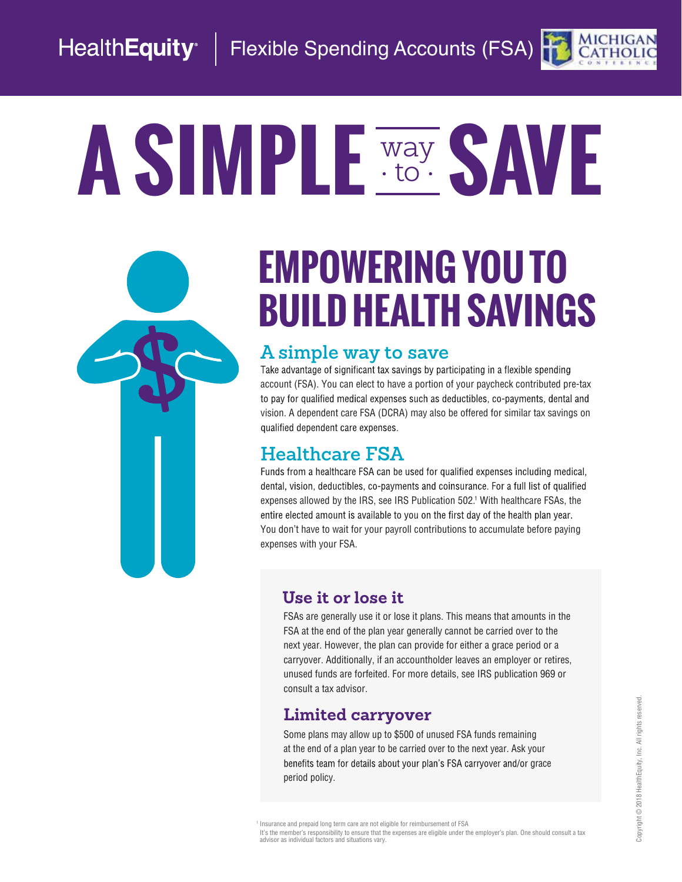### HealthEquity | Flexible Spending Accounts (FSA)

# A SIMPLE Way SAVE to

# **EMPOWERING YOU TO BUILD HEALTH SAVINGS**

#### **A simple way to save**

Take advantage of significant tax savings by participating in a flexible spending account (FSA). You can elect to have a portion of your paycheck contributed pre-tax to pay for qualified medical expenses such as deductibles, co-payments, dental and vision. A dependent care FSA (DCRA) may also be offered for similar tax savings on qualified dependent care expenses.

### **Healthcare FSA**

Funds from a healthcare FSA can be used for qualified expenses including medical, dental, vision, deductibles, co-payments and coinsurance. For a full list of qualified expenses allowed by the IRS, see IRS Publication 502.1 With healthcare FSAs, the entire elected amount is available to you on the first day of the health plan year. You don't have to wait for your payroll contributions to accumulate before paying expenses with your FSA.

#### **Use it or lose it**

FSAs are generally use it or lose it plans. This means that amounts in the FSA at the end of the plan year generally cannot be carried over to the next year. However, the plan can provide for either a grace period or a carryover. Additionally, if an accountholder leaves an employer or retires, unused funds are forfeited. For more details, see IRS publication 969 or consult a tax advisor.

#### **Limited carryover**

Some plans may allow up to \$500 of unused FSA funds remaining at the end of a plan year to be carried over to the next year. Ask your benefits team for details about your plan's FSA carryover and/or grace period policy.

<sup>1</sup> Insurance and prepaid long term care are not eligible for reimbursement of FSA

It's the member's responsibility to ensure that the expenses are eligible under the employer's plan. One should consult a tax<br>advisor as individual factors and situations vary.